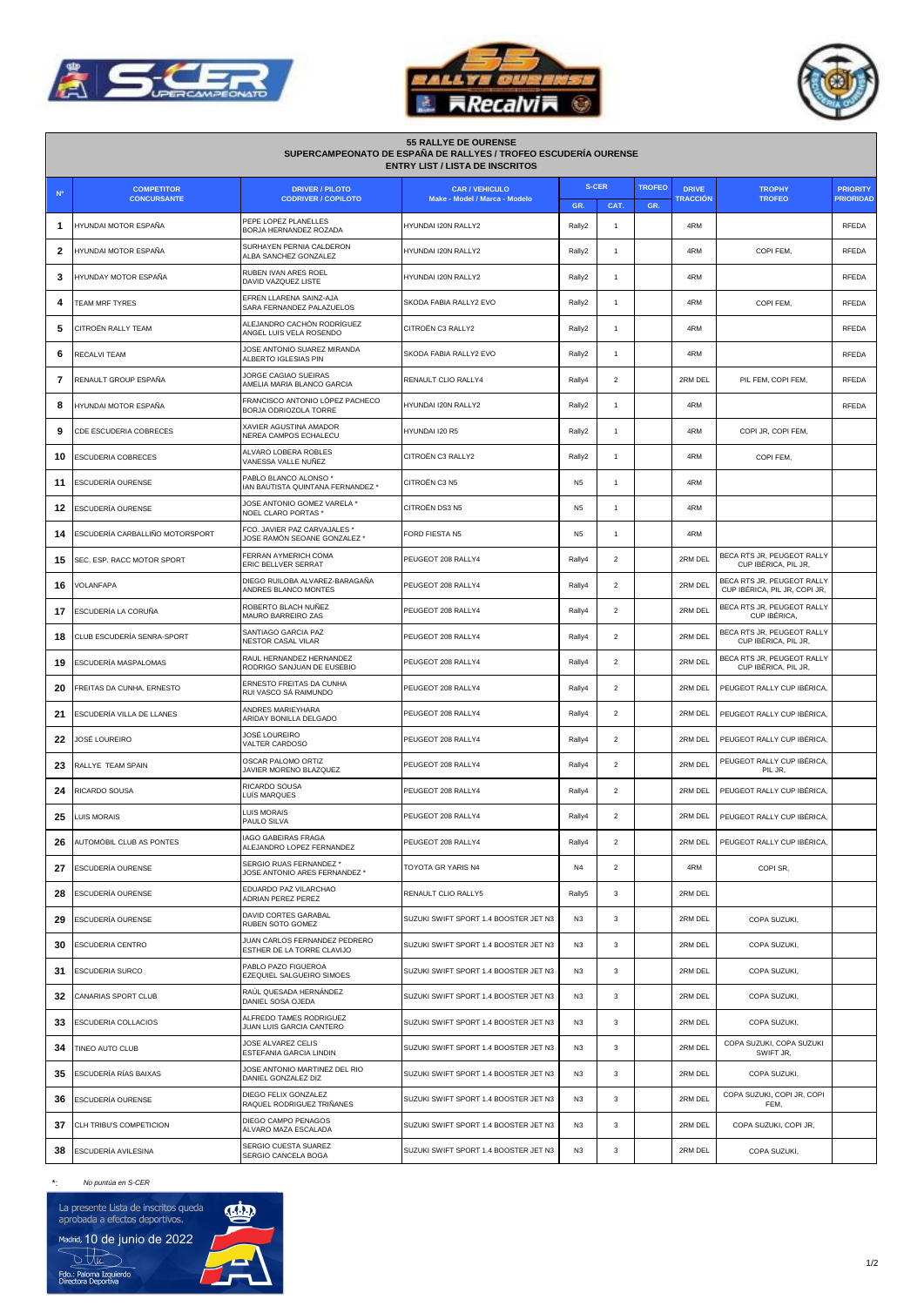

Г





| <b>55 RALLYE DE OURENSE</b><br>SUPERCAMPEONATO DE ESPAÑA DE RALLYES / TROFEO ESCUDERÍA OURENSE<br><b>ENTRY LIST / LISTA DE INSCRITOS</b> |                                 |                                                              |                                       |                |                |               |                 |                                                             |                  |  |
|------------------------------------------------------------------------------------------------------------------------------------------|---------------------------------|--------------------------------------------------------------|---------------------------------------|----------------|----------------|---------------|-----------------|-------------------------------------------------------------|------------------|--|
| <b>N°</b>                                                                                                                                | <b>COMPETITOR</b>               | <b>DRIVER / PILOTO</b>                                       | <b>CAR / VEHICULO</b>                 | <b>S-CER</b>   |                | <b>TROFEO</b> | <b>DRIVE</b>    | <b>TROPHY</b>                                               | <b>PRIORITY</b>  |  |
|                                                                                                                                          | <b>CONCURSANTE</b>              | <b>CODRIVER / COPILOTO</b>                                   | Make - Model / Marca - Modelo         | GR.            | CAT.           | GR.           | <b>TRACCIÓN</b> | <b>TROFEO</b>                                               | <b>PRIORIDAD</b> |  |
| 1                                                                                                                                        | HYUNDAI MOTOR ESPAÑA            | PEPE LOPEZ PLANELLES<br>BORJA HERNANDEZ ROZADA               | HYUNDAI I20N RALLY2                   | Rally2         | $\mathbf{1}$   |               | 4RM             |                                                             | <b>RFEDA</b>     |  |
| 2                                                                                                                                        | HYUNDAI MOTOR ESPAÑA            | SURHAYEN PERNIA CALDERON<br>ALBA SANCHEZ GONZALEZ            | HYUNDAI I20N RALLY2                   | Rally2         | 1              |               | 4RM             | COPI FEM.                                                   | <b>RFEDA</b>     |  |
| 3                                                                                                                                        | HYUNDAY MOTOR ESPAÑA            | RUBEN IVAN ARES ROEL<br>DAVID VAZQUEZ LISTE                  | HYUNDAI I20N RALLY2                   | Rally2         | $\mathbf{1}$   |               | 4RM             |                                                             | <b>RFEDA</b>     |  |
| 4                                                                                                                                        | <b>TEAM MRF TYRES</b>           | EFREN LLARENA SAINZ-AJA<br>SARA FERNANDEZ PALAZUELOS         | SKODA FABIA RALLY2 EVO                | Rally2         | $\mathbf{1}$   |               | 4RM             | COPI FEM,                                                   | <b>RFEDA</b>     |  |
| 5                                                                                                                                        | CITROËN RALLY TEAM              | ALEJANDRO CACHÓN RODRÍGUEZ<br>ANGEL LUIS VELA ROSENDO        | CITROËN C3 RALLY2                     | Rally2         | $\mathbf{1}$   |               | 4RM             |                                                             | <b>RFEDA</b>     |  |
| 6                                                                                                                                        | RECALVI TEAM                    | JOSE ANTONIO SUAREZ MIRANDA<br>ALBERTO IGLESIAS PIN          | SKODA FABIA RALLY2 EVO                | Rally2         | 1              |               | 4RM             |                                                             | <b>RFEDA</b>     |  |
| 7                                                                                                                                        | RENAULT GROUP ESPAÑA            | JORGE CAGIAO SUEIRAS<br>AMELIA MARIA BLANCO GARCIA           | RENAULT CLIO RALLY4                   | Rally4         | $\overline{2}$ |               | 2RM DEL         | PIL FEM, COPI FEM,                                          | <b>RFEDA</b>     |  |
| 8                                                                                                                                        | HYUNDAI MOTOR ESPAÑA            | FRANCISCO ANTONIO LÓPEZ PACHECO<br>BORJA ODRIOZOLA TORRE     | HYUNDAI I20N RALLY2                   | Rally2         | $\mathbf{1}$   |               | 4RM             |                                                             | <b>RFEDA</b>     |  |
| 9                                                                                                                                        | CDE ESCUDERIA COBRECES          | XAVIER AGUSTINA AMADOR<br>NEREA CAMPOS ECHALECU              | HYUNDAI I20 R5                        | Rally2         | $\mathbf{1}$   |               | 4RM             | COPI JR, COPI FEM,                                          |                  |  |
| 10                                                                                                                                       | ESCUDERIA COBRECES              | ALVARO LOBERA ROBLES<br>VANESSA VALLE NUÑEZ                  | CITROËN C3 RALLY2                     | Rally2         | $\mathbf{1}$   |               | 4RM             | COPI FEM.                                                   |                  |  |
| 11                                                                                                                                       | <b>ESCUDERÍA OURENSE</b>        | PABLO BLANCO ALONSO*<br>IAN BAUTISTA QUINTANA FERNANDEZ *    | CITROËN C3 N5                         | N <sub>5</sub> | $\mathbf{1}$   |               | 4RM             |                                                             |                  |  |
| 12                                                                                                                                       | ESCUDERÍA OURENSE               | JOSE ANTONIO GOMEZ VARELA *<br>NOEL CLARO PORTAS *           | CITROËN DS3 N5                        | N <sub>5</sub> | $\mathbf{1}$   |               | 4RM             |                                                             |                  |  |
| 14                                                                                                                                       | ESCUDERÍA CARBALLIÑO MOTORSPORT | FCO. JAVIER PAZ CARVAJALES *<br>JOSE RAMÓN SEOANE GONZALEZ * | FORD FIESTA N5                        | N <sub>5</sub> | $\mathbf{1}$   |               | 4RM             |                                                             |                  |  |
| 15                                                                                                                                       | SEC. ESP. RACC MOTOR SPORT      | FERRAN AYMERICH COMA<br>ERIC BELLVER SERRAT                  | PEUGEOT 208 RALLY4                    | Rally4         | $\overline{2}$ |               | 2RM DFL         | BECA RTS JR, PEUGEOT RALLY<br>CUP IBÉRICA, PIL JR.          |                  |  |
| 16                                                                                                                                       | VOLANFAPA                       | DIEGO RUILOBA ALVAREZ-BARAGAÑA<br>ANDRES BLANCO MONTES       | PEUGEOT 208 RALLY4                    | Rally4         | $\overline{2}$ |               | 2RM DEL         | BECA RTS JR, PEUGEOT RALLY<br>CUP IBÉRICA, PIL JR, COPI JR, |                  |  |
| 17                                                                                                                                       | ESCUDERÍA LA CORUÑA             | ROBERTO BLACH NUÑEZ<br>MAURO BARREIRO ZAS                    | PEUGEOT 208 RALLY4                    | Rally4         | $\overline{c}$ |               | 2RM DEL         | BECA RTS JR, PEUGEOT RALLY<br>CUP IBÉRICA,                  |                  |  |
| 18                                                                                                                                       | CLUB ESCUDERÍA SENRA-SPORT      | SANTIAGO GARCIA PAZ<br>NESTOR CASAL VILAR                    | PEUGEOT 208 RALLY4                    | Rally4         | $\overline{c}$ |               | 2RM DEL         | BECA RTS JR, PEUGEOT RALLY<br>CUP IBÉRICA, PIL JR,          |                  |  |
| 19                                                                                                                                       | ESCUDERÍA MASPALOMAS            | RAUL HERNANDEZ HERNANDEZ<br>RODRIGO SANJUAN DE EUSEBIO       | PEUGEOT 208 RALLY4                    | Rally4         | $\overline{2}$ |               | 2RM DEL         | BECA RTS JR, PEUGEOT RALLY<br>CUP IBÉRICA, PIL JR,          |                  |  |
| 20                                                                                                                                       | FREITAS DA CUNHA, ERNESTO       | ERNESTO FREITAS DA CUNHA<br>RUI VASCO SÁ RAIMUNDO            | PEUGEOT 208 RALLY4                    | Rally4         | $\overline{2}$ |               | 2RM DEL         | PEUGEOT RALLY CUP IBÉRICA,                                  |                  |  |
| 21                                                                                                                                       | ESCUDERÍA VILLA DE LLANES       | ANDRES MARIEYHARA<br>ARIDAY BONILLA DELGADO                  | PEUGEOT 208 RALLY4                    | Rally4         | $\overline{2}$ |               | 2RM DEL         | PEUGEOT RALLY CUP IBÉRICA,                                  |                  |  |
| 22                                                                                                                                       | JOSÉ LOUREIRO                   | JOSÉ LOUREIRO<br>VALTER CARDOSO                              | PEUGEOT 208 RALLY4                    | Rally4         | $\overline{2}$ |               | 2RM DEL         | PEUGEOT RALLY CUP IBÉRICA,                                  |                  |  |
| 23                                                                                                                                       | RALLYE TEAM SPAIN               | OSCAR PALOMO ORTIZ<br>JAVIER MORENO BLAZQUEZ                 | PEUGEOT 208 RALLY4                    | Rally4         | $\overline{2}$ |               | 2RM DEL         | PEUGEOT RALLY CUP IBÉRICA.<br>PIL JR,                       |                  |  |
| 24                                                                                                                                       | RICARDO SOUSA                   | RICARDO SOUSA<br>LUÍS MARQUES                                | PEUGEOT 208 RALLY4                    | Rally4         | $\overline{2}$ |               | 2RM DEL         | PEUGEOT RALLY CUP IBÉRICA.                                  |                  |  |
| 25                                                                                                                                       | LUIS MORAIS                     | <b>LUIS MORAIS</b><br>PAULO SILVA                            | PEUGEOT 208 RALLY4                    | Rally4         | $\overline{c}$ |               | 2RM DEL         | PEUGEOT RALLY CUP IBÉRICA,                                  |                  |  |
| 26                                                                                                                                       | AUTOMÓBIL CLUB AS PONTES        | <b>IAGO GABEIRAS FRAGA</b><br>ALEJANDRO LOPEZ FERNANDEZ      | PEUGEOT 208 RALLY4                    | Rally4         | $\overline{2}$ |               | 2RM DEL         | PEUGEOT RALLY CUP IBÉRICA.                                  |                  |  |
| 27                                                                                                                                       | ESCUDERÍA OURENSE               | SERGIO RUAS FERNANDEZ *<br>JOSE ANTONIO ARES FERNANDEZ *     | TOYOTA GR YARIS N4                    | N <sub>4</sub> | $\overline{2}$ |               | 4RM             | COPI SR.                                                    |                  |  |
| 28                                                                                                                                       | ESCUDERÍA OURENSE               | EDUARDO PAZ VILARCHAO<br>ADRIAN PEREZ PEREZ                  | RENAULT CLIO RALLY5                   | Rally5         | 3              |               | 2RM DEL         |                                                             |                  |  |
| 29                                                                                                                                       | ESCUDERÍA OURENSE               | DAVID CORTES GARABAL<br>RUBEN SOTO GOMEZ                     | SUZUKI SWIFT SPORT 1.4 BOOSTER JET N3 | N3             | 3              |               | 2RM DEL         | COPA SUZUKI,                                                |                  |  |
| 30                                                                                                                                       | ESCUDERIA CENTRO                | JUAN CARLOS FERNANDEZ PEDRERO<br>ESTHER DE LA TORRE CLAVIJO  | SUZUKI SWIFT SPORT 1.4 BOOSTER JET N3 | N <sub>3</sub> | 3              |               | 2RM DEL         | COPA SUZUKI.                                                |                  |  |
| 31                                                                                                                                       | <b>ESCUDERIA SURCO</b>          | PABLO PAZO FIGUEROA<br>EZEQUIEL SALGUEIRO SIMOES             | SUZUKI SWIFT SPORT 1.4 BOOSTER JET N3 | N3             | 3              |               | 2RM DEL         | COPA SUZUKI,                                                |                  |  |
| 32                                                                                                                                       | CANARIAS SPORT CLUB             | RAÚL QUESADA HERNÁNDEZ<br>DANIEL SOSA OJEDA                  | SUZUKI SWIFT SPORT 1.4 BOOSTER JET N3 | N3             | 3              |               | 2RM DEL         | COPA SUZUKI,                                                |                  |  |
| 33                                                                                                                                       | ESCUDERIA COLLACIOS             | ALFREDO TAMES RODRIGUEZ<br>JUAN LUIS GARCIA CANTERO          | SUZUKI SWIFT SPORT 1.4 BOOSTER JET N3 | N3             | 3              |               | 2RM DEL         | COPA SUZUKI,                                                |                  |  |
| 34                                                                                                                                       | TINEO AUTO CLUB                 | JOSE ALVAREZ CELIS<br>ESTEFANIA GARCIA LINDIN                | SUZUKI SWIFT SPORT 1.4 BOOSTER JET N3 | N <sub>3</sub> | 3              |               | 2RM DEL         | COPA SUZUKI, COPA SUZUKI<br>SWIFT JR.                       |                  |  |
| 35                                                                                                                                       | ESCUDERÍA RÍAS BAIXAS           | JOSE ANTONIO MARTINEZ DEL RIO<br>DANIEL GONZALEZ DIZ         | SUZUKI SWIFT SPORT 1.4 BOOSTER JET N3 | N <sub>3</sub> | $\mathbf{3}$   |               | 2RM DEL         | COPA SUZUKI,                                                |                  |  |
| 36                                                                                                                                       | <b>ESCUDERÍA OURENSE</b>        | DIEGO FELIX GONZALEZ<br>RAQUEL RODRIGUEZ TRIÑANES            | SUZUKI SWIFT SPORT 1.4 BOOSTER JET N3 | N <sub>3</sub> | 3              |               | 2RM DEL         | COPA SUZUKI, COPI JR, COPI<br>FEM,                          |                  |  |
| 37                                                                                                                                       | CLH TRIBU'S COMPETICION         | DIEGO CAMPO PENAGOS<br>ALVARO MAZA ESCALADA                  | SUZUKI SWIFT SPORT 1.4 BOOSTER JET N3 | N3             | 3              |               | 2RM DEL         | COPA SUZUKI, COPI JR,                                       |                  |  |
| 38                                                                                                                                       | ESCUDERÍA AVILESINA             | SERGIO CUESTA SUAREZ<br>SERGIO CANCELA BOGA                  | SUZUKI SWIFT SPORT 1.4 BOOSTER JET N3 | N3             | 3              |               | 2RM DEL         | COPA SUZUKI,                                                |                  |  |

## \*: *No puntúa en S-CER*

La presente Lista de inscritos queda<br>aprobada a efectos deportivos.

Madrid, 10 de junio de 2022<br>
Fdo.: Paloma Izquierdo<br>
Directora Deportiva